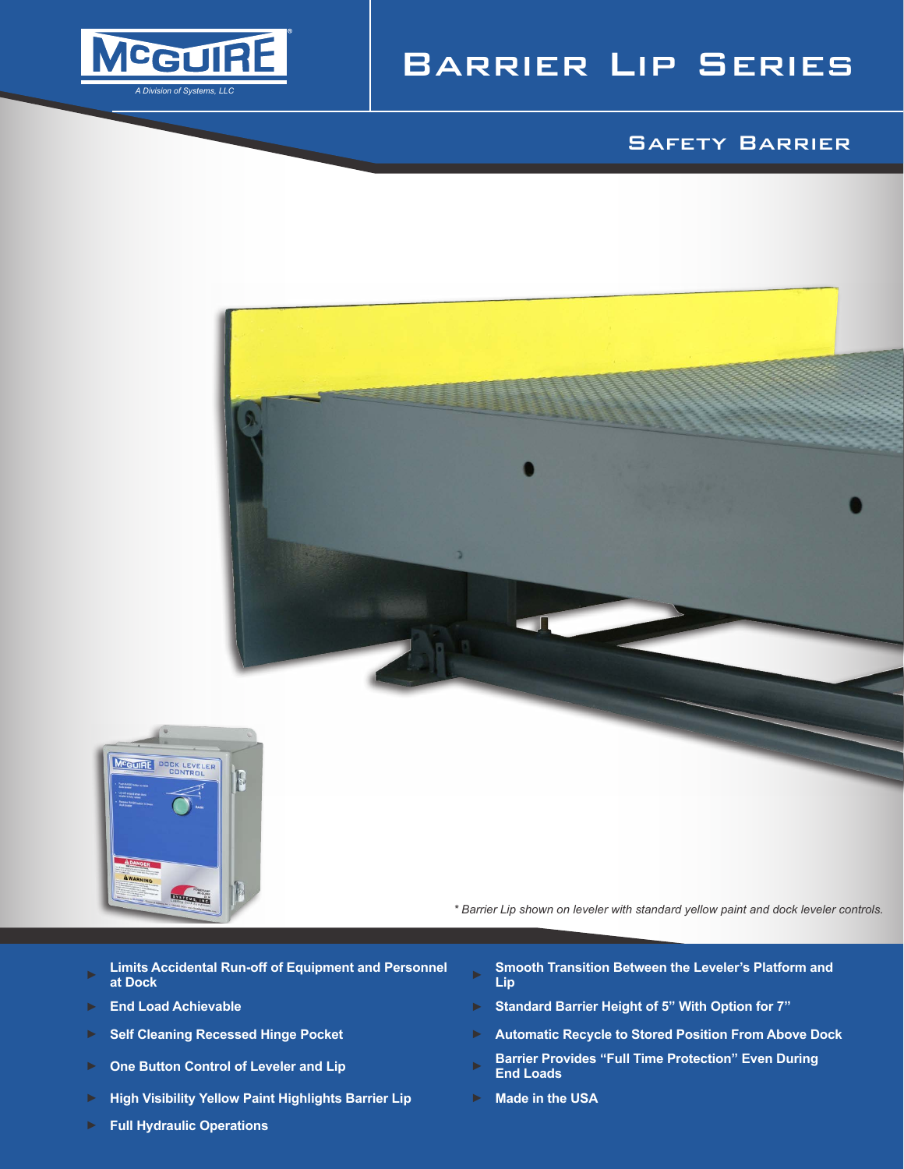

# Barrier Lip Series

## Safety Barrier



*\* Barrier Lip shown on leveler with standard yellow paint and dock leveler controls.*

- ► **Limits Accidental Run-off of Equipment and Personnel**
- 
- 
- 
- ► **High Visibility Yellow Paint Highlights Barrier Lip** ► **Made in the USA**
- 
- ► **Full Hydraulic Operations**
- ► Smooth Transition Between the Leveler's Platform and **Lip**
- ► **End Load Achievable** ► **Standard Barrier Height of 5" With Option for 7"**
- ► **Self Cleaning Recessed Hinge Pocket** ► **Automatic Recycle to Stored Position From Above Dock**
- ► **One Button Control of Leveler and Lip** ► **Barrier Provides "Full Time Protection" Even During End Loads**
	-